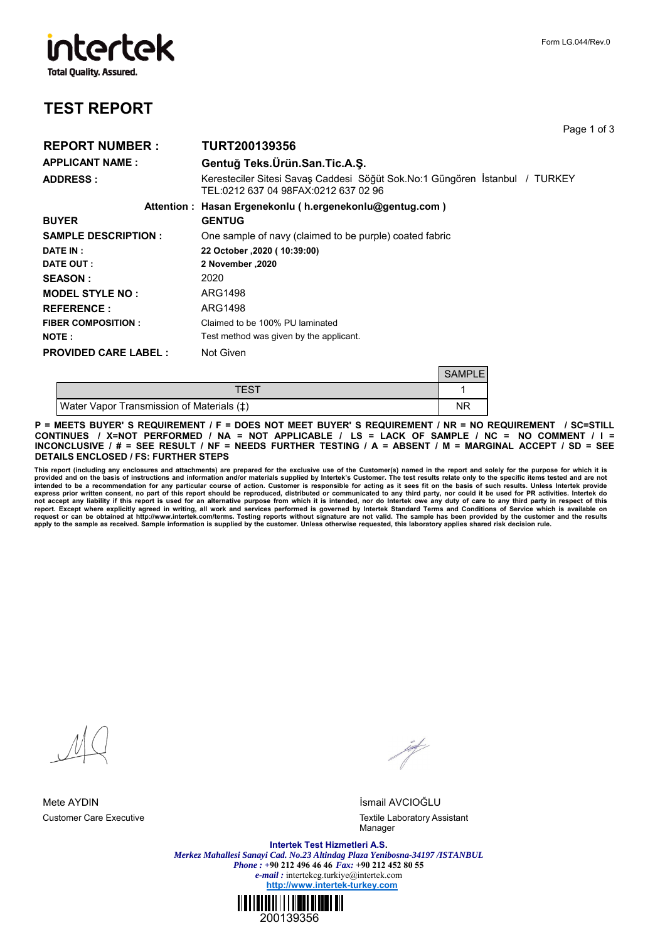## intertek **Total Quality. Assured.**

## **TEST REPORT**

|                              | Page                                                                                                                |
|------------------------------|---------------------------------------------------------------------------------------------------------------------|
| <b>REPORT NUMBER:</b>        | <b>TURT200139356</b>                                                                                                |
| APPLICANT NAME :             | Gentuğ Teks. Ürün. San. Tic. A. S.                                                                                  |
| <b>ADDRESS :</b>             | Keresteciler Sitesi Savaş Caddesi Söğüt Sok.No:1 Güngören İstanbul / TURKEY<br>TEL:0212 637 04 98FAX:0212 637 02 96 |
|                              | Attention: Hasan Ergenekonlu (h.ergenekonlu@gentug.com)                                                             |
| <b>BUYER</b>                 | <b>GENTUG</b>                                                                                                       |
| <b>SAMPLE DESCRIPTION :</b>  | One sample of navy (claimed to be purple) coated fabric                                                             |
| <b>DATE IN :</b>             | 22 October , 2020 (10:39:00)                                                                                        |
| <b>DATE OUT :</b>            | 2020, 2020 November                                                                                                 |
| <b>SEASON :</b>              | 2020                                                                                                                |
| <b>MODEL STYLE NO:</b>       | ARG1498                                                                                                             |
| <b>REFERENCE:</b>            | ARG1498                                                                                                             |
| <b>FIBER COMPOSITION :</b>   | Claimed to be 100% PU laminated                                                                                     |
| <b>NOTE :</b>                | Test method was given by the applicant.                                                                             |
| <b>PROVIDED CARE LABEL :</b> | Not Given                                                                                                           |

|                                                      | <b>SAMPLE</b> |
|------------------------------------------------------|---------------|
| TFST                                                 |               |
| Water Vapor Transmission of Materials ( $\ddagger$ ) | ΝR            |

**P = MEETS BUYER' S REQUIREMENT / F = DOES NOT MEET BUYER' S REQUIREMENT / NR = NO REQUIREMENT / SC=STILL CONTINUES / X=NOT PERFORMED / NA = NOT APPLICABLE / LS = LACK OF SAMPLE / NC = NO COMMENT / I = INCONCLUSIVE / # = SEE RESULT / NF = NEEDS FURTHER TESTING / A = ABSENT / M = MARGINAL ACCEPT / SD = SEE DETAILS ENCLOSED / FS: FURTHER STEPS**

This report (including any enclosures and attachments) are prepared for the exclusive use of the Customer(s) named in the report and solely for the purpose for which it is<br>provided and on the basis of instructions and info

for the second the

Mete AYDIN İsmail AVCIOĞLU Customer Care Executive Textile Laboratory Assistant Manager

> **Intertek Test Hizmetleri A.S.** *Merkez Mahallesi Sanayi Cad. No.23 Altindag Plaza Yenibosna-34197 /ISTANBUL Phone : +***90 212 496 46 46** *Fax:* **+90 212 452 80 55** *e-mail :* intertekcg.turkiye@intertek.com **http://www.intertek-turkey.com**



Page 1 of 3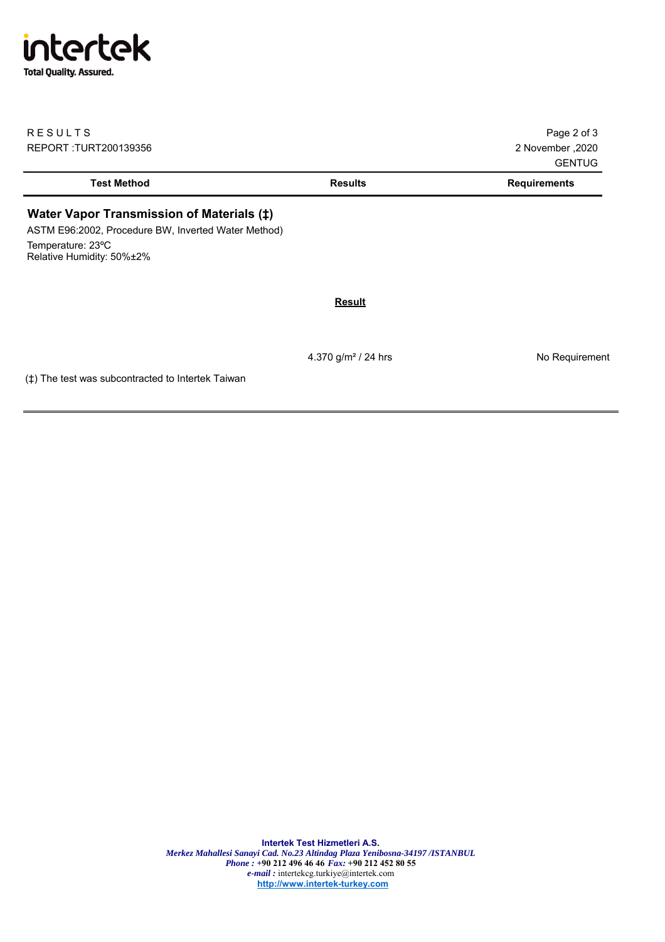## intertek **Total Quality. Assured.**

| <b>RESULTS</b><br>REPORT : TURT200139356                                                                                                                      |                | Page 2 of 3<br>2020, 200ember<br><b>GENTUG</b> |
|---------------------------------------------------------------------------------------------------------------------------------------------------------------|----------------|------------------------------------------------|
| <b>Test Method</b>                                                                                                                                            | <b>Results</b> | <b>Requirements</b>                            |
| Water Vapor Transmission of Materials ( $\ddagger$ )<br>ASTM E96:2002, Procedure BW, Inverted Water Method)<br>Temperature: 23°C<br>Relative Humidity: 50%±2% |                |                                                |
|                                                                                                                                                               | <b>Result</b>  |                                                |
|                                                                                                                                                               |                |                                                |

4.370 g/m<sup>2</sup> / 24 hrs No Requirement

(‡) The test was subcontracted to Intertek Taiwan